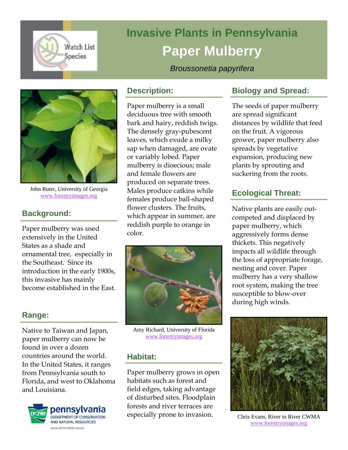

# **Invasive Plants in Pennsylvania Paper Mulberry**

*Broussonetia papyrifera* 



John Ruter, University of Georgia www.forestryimages.org

# **Background:**

Paper mulberry was used extensively in the United States as a shade and ornamental tree, especially in the Southeast. Since its introduction in the early 1900s, this invasive has mainly become established in the East.

## **Range:**

Native to Taiwan and Japan, paper mulberry can now be found in over a dozen countries around the world. In the United States, it ranges from Pennsylvania south to Florida, and west to Oklahoma and Louisiana.



#### **Description:**

Paper mulberry is a small deciduous tree with smooth bark and hairy, reddish twigs. The densely gray-pubescent leaves, which exude a milky sap when damaged, are ovate or variably lobed. Paper mulberry is dioecious; male and female flowers are produced on separate trees. Males produce catkins while females produce ball-shaped flower clusters. The fruits, which appear in summer, are reddish purple to orange in color.



Amy Richard, University of Florida www.forestryimages.org

## **Habitat:**

Paper mulberry grows in open habitats such as forest and field edges, taking advantage of disturbed sites. Floodplain forests and river terraces are especially prone to invasion.

## **Biology and Spread:**

The seeds of paper mulberry are spread significant distances by wildlife that feed on the fruit. A vigorous grower, paper mulberry also spreads by vegetative expansion, producing new plants by sprouting and suckering from the roots.

## **Ecological Threat:**

Native plants are easily outcompeted and displaced by paper mulberry, which aggressively forms dense thickets. This negatively impacts all wildlife through the loss of appropriate forage, nesting and cover. Paper mulberry has a very shallow root system, making the tree susceptible to blow-over during high winds.



Chris Evans, River to River CWMA www.forestryimages.org